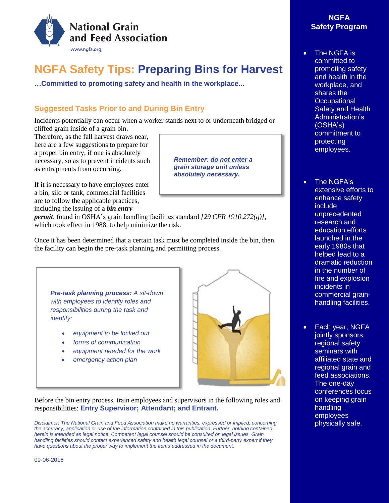

# **NGFA Safety Tips: Preparing Bins for Harvest**

**…Committed to promoting safety and health in the workplace...**

## **Suggested Tasks Prior to and During Bin Entry**

Incidents potentially can occur when a worker stands next to or underneath bridged or cliffed grain inside of a grain bin.

Therefore, as the fall harvest draws near, here are a few suggestions to prepare for a proper bin entry, if one is absolutely necessary, so as to prevent incidents such as entrapments from occurring.

If it is necessary to have employees enter a bin, silo or tank, commercial facilities are to follow the applicable practices,

including the issuing of a *bin entry* 

*permit*, found in OSHA's grain handling facilities standard *[29 CFR 1910.272(g)]*, which took effect in 1988, to help minimize the risk.

Once it has been determined that a certain task must be completed inside the bin, then the facility can begin the pre-task planning and permitting process.

*Pre-task planning process: A sit-down with employees to identify roles and responsibilities during the task and identify:*

- *equipment to be locked out*
- *forms of communication*
- *equipment needed for the work*
- *emergency action plan*



*Remember: do not enter a grain storage unit unless absolutely necessary.* 

Before the bin entry process, train employees and supervisors in the following roles and responsibilities: **Entry Supervisor; Attendant; and Entrant.**

*Disclaimer: The National Grain and Feed Association make no warranties, expressed or implied, concerning the accuracy, application or use of the information contained in this publication. Further, nothing contained herein is intended as legal notice. Competent legal counsel should be consulted on legal issues. Grain handling facilities should contact experienced safety and health legal counsel or a third-party expert if they have questions about the proper way to implement the items addressed in the document.* 

## **NGFA Safety Program**

- The NGFA is committed to promoting safety and health in the workplace, and shares the **Occupational** Safety and Health Administration's (OSHA's) commitment to protecting employees.
- The NGFA's extensive efforts to enhance safety include unprecedented research and education efforts launched in the early 1980s that helped lead to a dramatic reduction in the number of fire and explosion incidents in commercial grainhandling facilities.
- Each year, NGFA jointly sponsors regional safety seminars with affiliated state and regional grain and feed associations. The one-day conferences focus on keeping grain handling employees physically safe.

09-06-2016